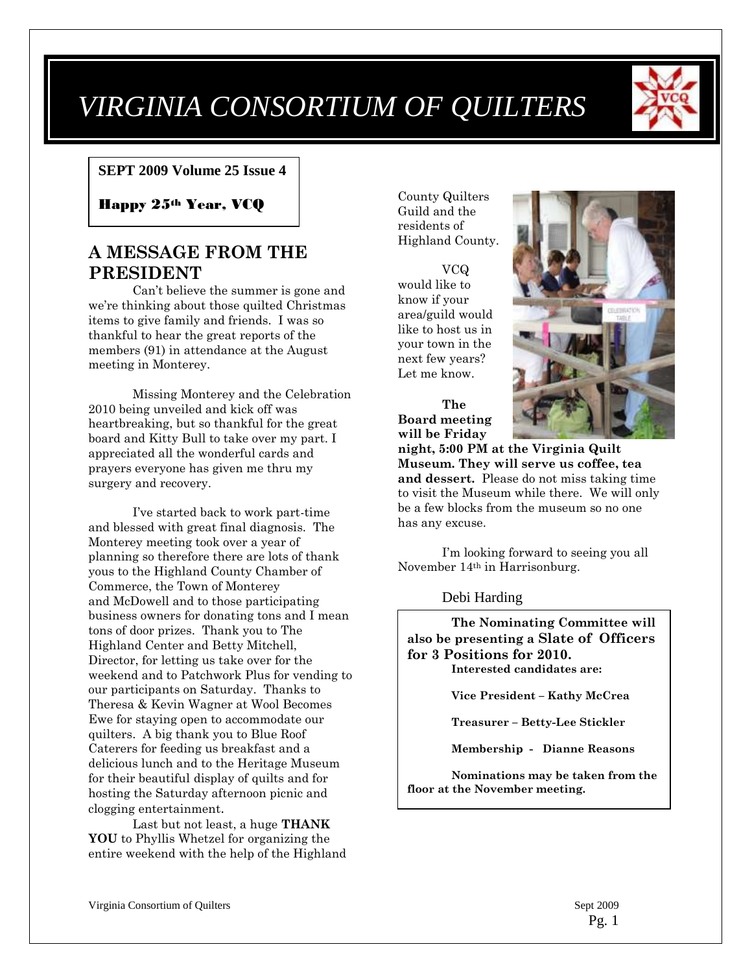# *VIRGINIA CONSORTIUM OF QUILTERS*



#### **SEPT 2009 Volume 25 Issue 4**

Happy 25th Year, VCQ

# **A MESSAGE FROM THE PRESIDENT**

Can't believe the summer is gone and we're thinking about those quilted Christmas items to give family and friends. I was so thankful to hear the great reports of the members (91) in attendance at the August meeting in Monterey.

Missing Monterey and the Celebration 2010 being unveiled and kick off was heartbreaking, but so thankful for the great board and Kitty Bull to take over my part. I appreciated all the wonderful cards and prayers everyone has given me thru my surgery and recovery.

I've started back to work part-time and blessed with great final diagnosis. The Monterey meeting took over a year of planning so therefore there are lots of thank yous to the Highland County Chamber of Commerce, the Town of Monterey and McDowell and to those participating business owners for donating tons and I mean tons of door prizes. Thank you to The Highland Center and Betty Mitchell, Director, for letting us take over for the weekend and to Patchwork Plus for vending to our participants on Saturday. Thanks to Theresa & Kevin Wagner at Wool Becomes Ewe for staying open to accommodate our quilters. A big thank you to Blue Roof Caterers for feeding us breakfast and a delicious lunch and to the Heritage Museum for their beautiful display of quilts and for hosting the Saturday afternoon picnic and clogging entertainment.

Last but not least, a huge **THANK YOU** to Phyllis Whetzel for organizing the entire weekend with the help of the Highland County Quilters Guild and the residents of Highland County.

VCQ would like to know if your area/guild would like to host us in your town in the next few years? Let me know.



**night, 5:00 PM at the Virginia Quilt Museum. They will serve us coffee, tea and dessert.** Please do not miss taking time to visit the Museum while there. We will only be a few blocks from the museum so no one has any excuse.

I'm looking forward to seeing you all November 14th in Harrisonburg.

Debi Harding

**The Nominating Committee will also be presenting a Slate of Officers for 3 Positions for 2010. Interested candidates are:**

**Vice President – Kathy McCrea**

**Treasurer – Betty-Lee Stickler**

**Membership - Dianne Reasons**

**Nominations may be taken from the floor at the November meeting.**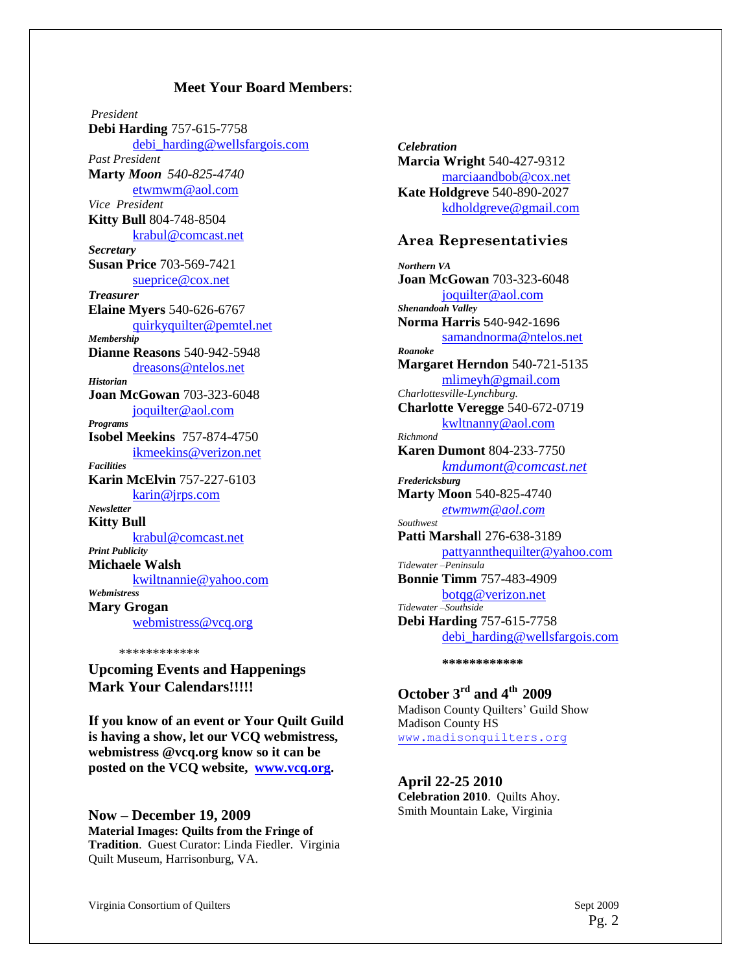#### **Meet Your Board Members**:

*President* **Debi Harding** 757-615-7758 [debi\\_harding@wellsfargois.com](mailto:debi_harding@wellsfargois.com) *Past President* **Marty** *Moon 540-825-4740* [etwmwm@aol.com](mailto:etwmwm@aol.com) *Vice President* **Kitty Bull** 804-748-8504 [krabul@comcast.net](mailto:krabul@comcast.net) *Secretary* **Susan Price** 703-569-7421 [sueprice@cox.net](mailto:sueprice@cox.net) *Treasurer* **Elaine Myers** 540-626-6767 [quirkyquilter@pemtel.net](mailto:quirkyquilter@pemtel.net) *Membership* **Dianne Reasons** 540-942-5948 [dreasons@ntelos.net](mailto:dreasons@ntelos.net) *Historian* **Joan McGowan** 703-323-6048 [joquilter@aol.com](mailto:joquilter@aol.com) *Programs* **Isobel Meekins** 757-874-4750 [ikmeekins@verizon.net](mailto:ikmeekins@verizon.net) *Facilities* **Karin McElvin** 757-227-6103 [karin@jrps.com](mailto:karin@jrps.com) *Newsletter* **Kitty Bull** [krabul@comcast.net](mailto:krabul@comcast.net) *Print Publicity* **Michaele Walsh** [kwiltnannie@yahoo.com](mailto:kwiltnannie@yahoo.com) *Webmistress* **Mary Grogan** [webmistress@vcq.org](mailto:webmistress@vcq.org)

\*\*\*\*\*\*\*\*\*\*\*\*

**Upcoming Events and Happenings Mark Your Calendars!!!!!**

**If you know of an event or Your Quilt Guild is having a show, let our VCQ webmistress, webmistress @vcq.org know so it can be posted on the VCQ website, [www.vcq.org.](http://www.vcq.org/)**

**Now – December 19, 2009 Material Images: Quilts from the Fringe of Tradition**. Guest Curator: Linda Fiedler. Virginia Quilt Museum, Harrisonburg, VA.

*Celebration* **Marcia Wright** 540-427-9312 [marciaandbob@cox.net](mailto:marciaandbob@cox.net) **Kate Holdgreve** 540-890-2027 [kdholdgreve@gmail.com](mailto:kdholdgreve@gmail.com)

#### **Area Representativies**

*Northern VA* **Joan McGowan** 703-323-6048 [joquilter@aol.com](mailto:joquilter@aol.com) *Shenandoah Valley* **Norma Harris** 540-942-1696 [samandnorma@ntelos.net](mailto:samandnorma@ntelos.net) *Roanoke* **Margaret Herndon** 540-721-5135 [mlimeyh@gmail.com](mailto:mlimeyh@gmail.com) *Charlottesville-Lynchburg.* **Charlotte Veregge** 540-672-0719 [kwltnanny@aol.com](mailto:kwltnanny@aol.com) *Richmond* **Karen Dumont** 804-233-7750 *[kmdumont@comcast.net](mailto:kmdumont@comcast.net) Fredericksburg* **Marty Moon** 540-825-4740 *[etwmwm@aol.com](mailto:etwmwm@aol.com) Southwest* **Patti Marshal**l 276-638-3189 [pattyannthequilter@yahoo.com](mailto:pattyannthequilter@yahoo.com) *Tidewater –Peninsula* **Bonnie Timm** 757-483-4909 [botqg@verizon.net](mailto:botqg@verizon.net) *Tidewater –Southside* **Debi Harding** 757-615-7758 [debi\\_harding@wellsfargois.com](mailto:debi.harding@wachovia.com)

**\*\*\*\*\*\*\*\*\*\*\*\***

# **October 3rd and 4th 2009** Madison County Quilters' Guild Show

Madison County HS [www.madisonquilters.org](http://www.madisonquilters.org/)

#### **April 22-25 2010**

**Celebration 2010**. Quilts Ahoy. Smith Mountain Lake, Virginia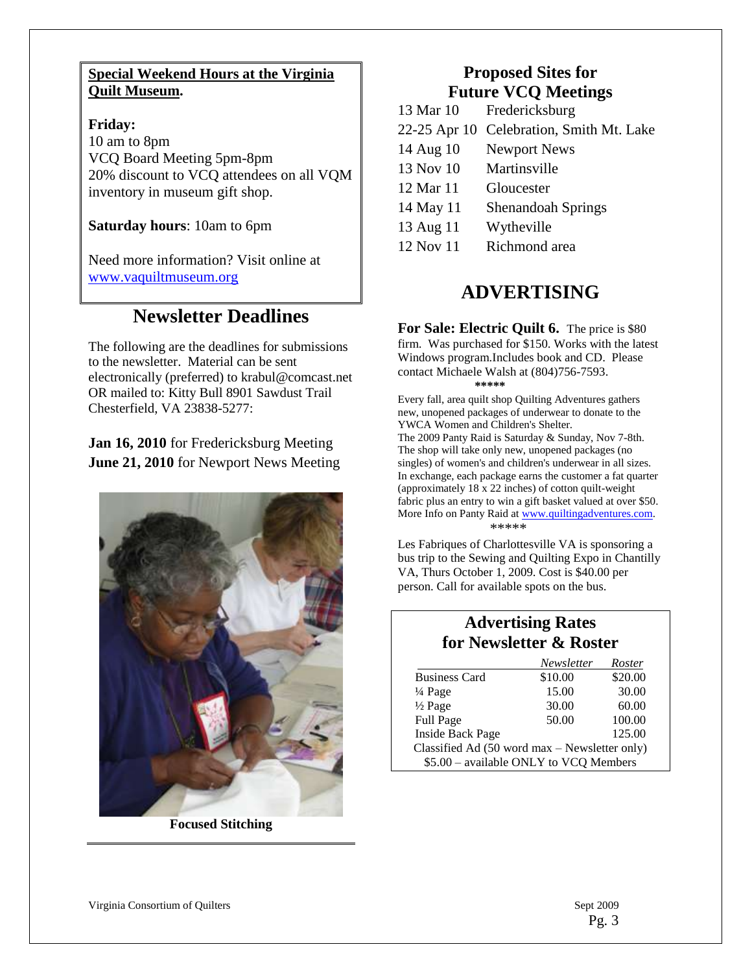#### **Special Weekend Hours at the Virginia Quilt Museum.**

**Friday:** 10 am to 8pm VCQ Board Meeting 5pm-8pm 20% discount to VCQ attendees on all VQM inventory in museum gift shop.

**Saturday hours**: 10am to 6pm

Need more information? Visit online at [www.vaquiltmuseum.org](http://www.vaquiltmuseum.org/)

# **Newsletter Deadlines**

The following are the deadlines for submissions to the newsletter. Material can be sent electronically (preferred) to krabul@comcast.net OR mailed to: Kitty Bull 8901 Sawdust Trail Chesterfield, VA 23838-5277:

**Jan 16, 2010** for Fredericksburg Meeting **June 21, 2010** for Newport News Meeting



**Focused Stitching**

# **Proposed Sites for Future VCQ Meetings**

| 13 Mar 10 | Fredericksburg                           |
|-----------|------------------------------------------|
|           | 22-25 Apr 10 Celebration, Smith Mt. Lake |
| 14 Aug 10 | <b>Newport News</b>                      |
| 13 Nov 10 | Martinsville                             |
| 12 Mar 11 | Gloucester                               |
| 14 May 11 | Shenandoah Springs                       |
| 13 Aug 11 | Wytheville                               |
| 12 Nov 11 | Richmond area                            |

# **ADVERTISING**

**For Sale: Electric Quilt 6.** The price is \$80 firm. Was purchased for \$150. Works with the latest Windows program.Includes book and CD. Please contact Michaele Walsh at (804)756-7593. **\*\*\*\*\***

Every fall, area quilt shop Quilting Adventures gathers new, unopened packages of underwear to donate to the YWCA Women and Children's Shelter. The 2009 Panty Raid is Saturday & Sunday, Nov 7-8th. The shop will take only new, unopened packages (no singles) of women's and children's underwear in all sizes. In exchange, each package earns the customer a fat quarter (approximately 18 x 22 inches) of cotton quilt-weight fabric plus an entry to win a gift basket valued at over \$50. More Info on Panty Raid at [www.quiltingadventures.com.](http://www.quiltingadventures.com/) \*\*\*\*\*

Les Fabriques of Charlottesville VA is sponsoring a bus trip to the Sewing and Quilting Expo in Chantilly VA, Thurs October 1, 2009. Cost is \$40.00 per person. Call for available spots on the bus.

# **Advertising Rates for Newsletter & Roster**

|                                               | Newsletter | Roster  |  |
|-----------------------------------------------|------------|---------|--|
| <b>Business Card</b>                          | \$10.00    | \$20.00 |  |
| $\frac{1}{4}$ Page                            | 15.00      | 30.00   |  |
| $\frac{1}{2}$ Page                            | 30.00      | 60.00   |  |
| Full Page                                     | 50.00      | 100.00  |  |
| <b>Inside Back Page</b>                       |            | 125.00  |  |
| Classified Ad (50 word max - Newsletter only) |            |         |  |
| \$5.00 - available ONLY to VCQ Members        |            |         |  |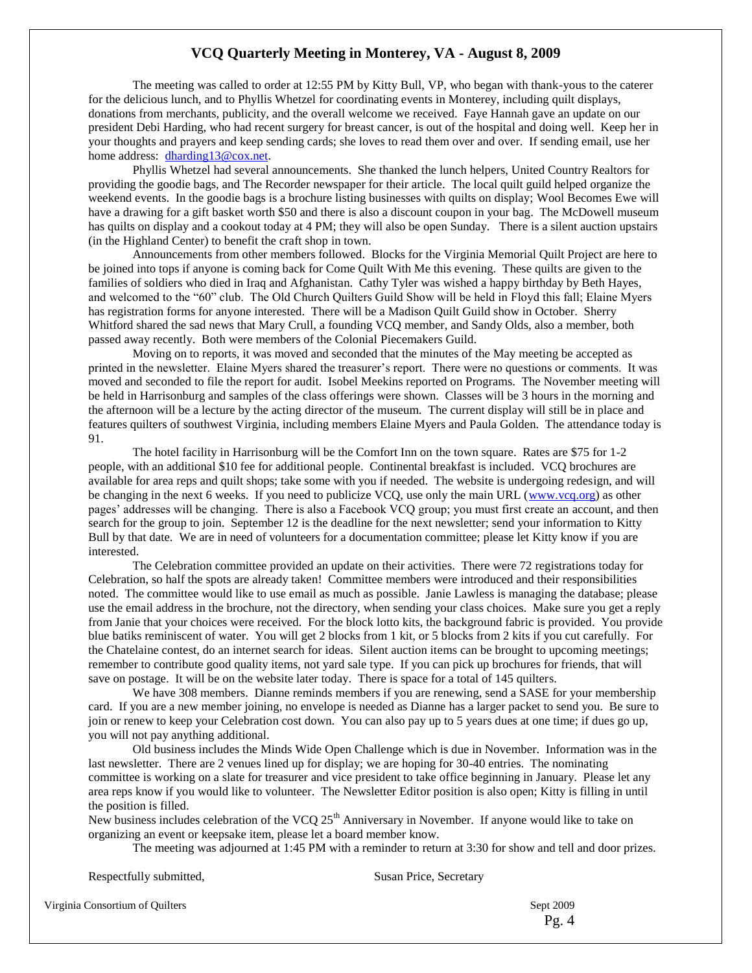#### **VCQ Quarterly Meeting in Monterey, VA - August 8, 2009**

The meeting was called to order at 12:55 PM by Kitty Bull, VP, who began with thank-yous to the caterer for the delicious lunch, and to Phyllis Whetzel for coordinating events in Monterey, including quilt displays, donations from merchants, publicity, and the overall welcome we received. Faye Hannah gave an update on our president Debi Harding, who had recent surgery for breast cancer, is out of the hospital and doing well. Keep her in your thoughts and prayers and keep sending cards; she loves to read them over and over. If sending email, use her home address: [dharding13@cox.net.](mailto:dharding13@cox.net) 

Phyllis Whetzel had several announcements. She thanked the lunch helpers, United Country Realtors for providing the goodie bags, and The Recorder newspaper for their article. The local quilt guild helped organize the weekend events. In the goodie bags is a brochure listing businesses with quilts on display; Wool Becomes Ewe will have a drawing for a gift basket worth \$50 and there is also a discount coupon in your bag. The McDowell museum has quilts on display and a cookout today at 4 PM; they will also be open Sunday. There is a silent auction upstairs (in the Highland Center) to benefit the craft shop in town.

Announcements from other members followed. Blocks for the Virginia Memorial Quilt Project are here to be joined into tops if anyone is coming back for Come Quilt With Me this evening. These quilts are given to the families of soldiers who died in Iraq and Afghanistan. Cathy Tyler was wished a happy birthday by Beth Hayes, and welcomed to the "60" club. The Old Church Quilters Guild Show will be held in Floyd this fall; Elaine Myers has registration forms for anyone interested. There will be a Madison Quilt Guild show in October. Sherry Whitford shared the sad news that Mary Crull, a founding VCQ member, and Sandy Olds, also a member, both passed away recently. Both were members of the Colonial Piecemakers Guild.

Moving on to reports, it was moved and seconded that the minutes of the May meeting be accepted as printed in the newsletter. Elaine Myers shared the treasurer's report. There were no questions or comments. It was moved and seconded to file the report for audit. Isobel Meekins reported on Programs. The November meeting will be held in Harrisonburg and samples of the class offerings were shown. Classes will be 3 hours in the morning and the afternoon will be a lecture by the acting director of the museum. The current display will still be in place and features quilters of southwest Virginia, including members Elaine Myers and Paula Golden. The attendance today is 91.

The hotel facility in Harrisonburg will be the Comfort Inn on the town square. Rates are \$75 for 1-2 people, with an additional \$10 fee for additional people. Continental breakfast is included. VCQ brochures are available for area reps and quilt shops; take some with you if needed. The website is undergoing redesign, and will be changing in the next 6 weeks. If you need to publicize VCQ, use only the main URL [\(www.vcq.org\)](http://www.vcq.org/) as other pages' addresses will be changing. There is also a Facebook VCQ group; you must first create an account, and then search for the group to join. September 12 is the deadline for the next newsletter; send your information to Kitty Bull by that date. We are in need of volunteers for a documentation committee; please let Kitty know if you are interested.

The Celebration committee provided an update on their activities. There were 72 registrations today for Celebration, so half the spots are already taken! Committee members were introduced and their responsibilities noted. The committee would like to use email as much as possible. Janie Lawless is managing the database; please use the email address in the brochure, not the directory, when sending your class choices. Make sure you get a reply from Janie that your choices were received. For the block lotto kits, the background fabric is provided. You provide blue batiks reminiscent of water. You will get 2 blocks from 1 kit, or 5 blocks from 2 kits if you cut carefully. For the Chatelaine contest, do an internet search for ideas. Silent auction items can be brought to upcoming meetings; remember to contribute good quality items, not yard sale type. If you can pick up brochures for friends, that will save on postage. It will be on the website later today. There is space for a total of 145 quilters.

We have 308 members. Dianne reminds members if you are renewing, send a SASE for your membership card. If you are a new member joining, no envelope is needed as Dianne has a larger packet to send you. Be sure to join or renew to keep your Celebration cost down. You can also pay up to 5 years dues at one time; if dues go up, you will not pay anything additional.

Old business includes the Minds Wide Open Challenge which is due in November. Information was in the last newsletter. There are 2 venues lined up for display; we are hoping for 30-40 entries. The nominating committee is working on a slate for treasurer and vice president to take office beginning in January. Please let any area reps know if you would like to volunteer. The Newsletter Editor position is also open; Kitty is filling in until the position is filled.

New business includes celebration of the VCQ 25<sup>th</sup> Anniversary in November. If anyone would like to take on organizing an event or keepsake item, please let a board member know.

The meeting was adjourned at 1:45 PM with a reminder to return at 3:30 for show and tell and door prizes.

Respectfully submitted, Susan Price, Secretary

Virginia Consortium of Quilters Sept 2009

Pg. 4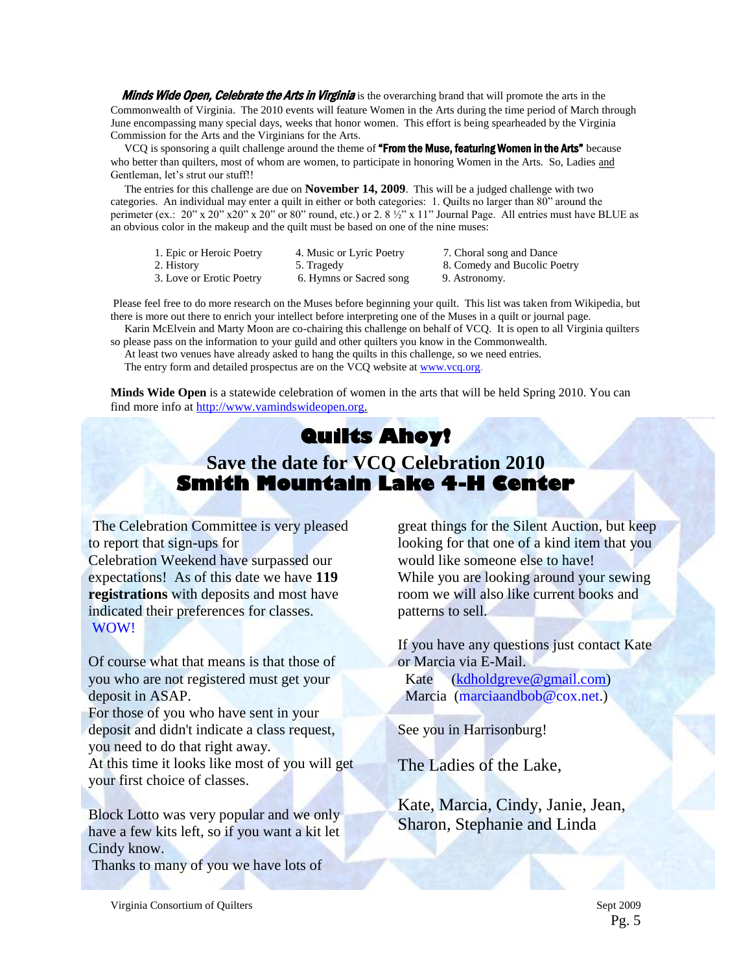Minds Wide Open, Celebrate the Arts in Virginia is the overarching brand that will promote the arts in the Commonwealth of Virginia. The 2010 events will feature Women in the Arts during the time period of March through June encompassing many special days, weeks that honor women. This effort is being spearheaded by the Virginia Commission for the Arts and the Virginians for the Arts.

VCQ is sponsoring a quilt challenge around the theme of "From the Muse, featuring Women in the Arts" because who better than quilters, most of whom are women, to participate in honoring Women in the Arts. So, Ladies and Gentleman, let's strut our stuff!!

 The entries for this challenge are due on **November 14, 2009**. This will be a judged challenge with two categories. An individual may enter a quilt in either or both categories: 1. Quilts no larger than 80" around the perimeter (ex.:  $20$ " x  $20$ " x  $20$ " x  $20$ " or 80" round, etc.) or 2. 8  $\frac{1}{2}$ " x 11" Journal Page. All entries must have BLUE as an obvious color in the makeup and the quilt must be based on one of the nine muses:

- 1. Epic or Heroic Poetry 4. Music or Lyric Poetry 7. Choral song and Dance 2. History 5. Tragedy 8. Comedy and Bucolic Poetry 3. Love or Erotic Poetry 6. Hymns or Sacred song 9. Astronomy.
	-
	-

Please feel free to do more research on the Muses before beginning your quilt. This list was taken from Wikipedia, but there is more out there to enrich your intellect before interpreting one of the Muses in a quilt or journal page.

 Karin McElvein and Marty Moon are co-chairing this challenge on behalf of VCQ. It is open to all Virginia quilters so please pass on the information to your guild and other quilters you know in the Commonwealth.

 At least two venues have already asked to hang the quilts in this challenge, so we need entries. The entry form and detailed prospectus are on the VCQ website at [www.vcq.org.](http://www.vcq.org/)

**Minds Wide Open** is a statewide celebration of women in the arts that will be held Spring 2010. You can find more info at [http://www.vamindswideopen.org.](http://www.vamindswideopen.org/)

# **Quilts Ahoy! Save the date for VCQ Celebration 2010 Smith Mountain Lake 4-H Center**

The Celebration Committee is very pleased to report that sign-ups for

Celebration Weekend have surpassed our expectations! As of this date we have **119 registrations** with deposits and most have indicated their preferences for classes. WOW!

Of course what that means is that those of you who are not registered must get your deposit in ASAP.

For those of you who have sent in your deposit and didn't indicate a class request, you need to do that right away.

At this time it looks like most of you will get your first choice of classes.

Block Lotto was very popular and we only have a few kits left, so if you want a kit let Cindy know.

Thanks to many of you we have lots of

great things for the Silent Auction, but keep looking for that one of a kind item that you would like someone else to have! While you are looking around your sewing room we will also like current books and patterns to sell.

If you have any questions just contact Kate or Marcia via E-Mail.

 Kate [\(kdholdgreve@gmail.com\)](mailto:kdholdgreve@gmail.com) Marcia (marciaandbob@cox.net.)

See you in Harrisonburg!

The Ladies of the Lake,

Kate, Marcia, Cindy, Janie, Jean, Sharon, Stephanie and Linda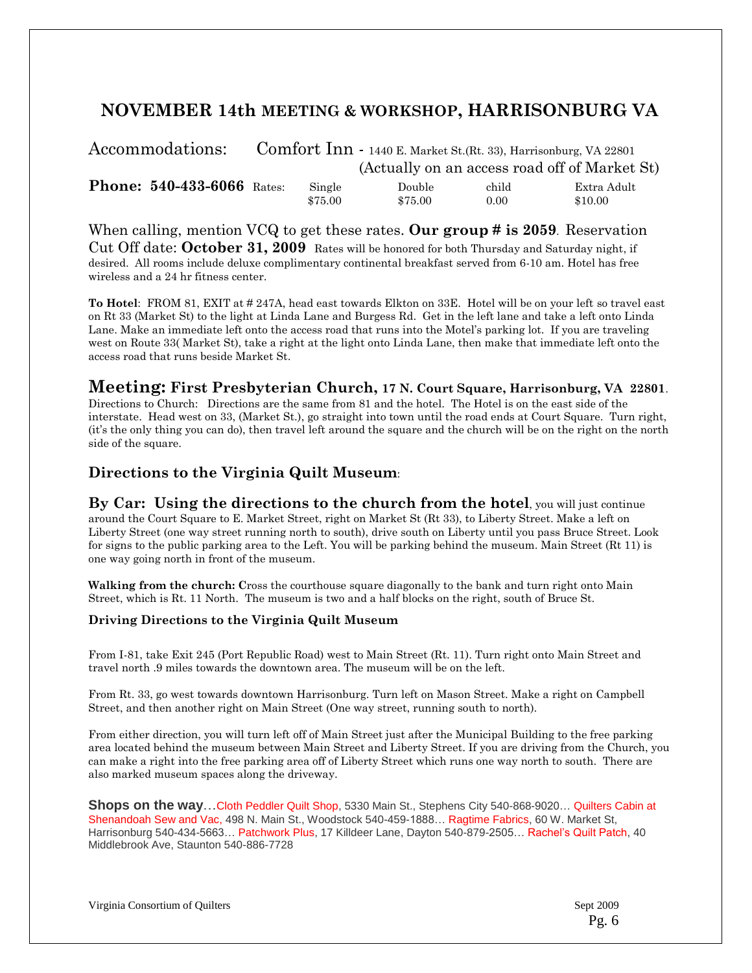# **NOVEMBER 14th MEETING & WORKSHOP, HARRISONBURG VA**

| Accommodations:                   | Comfort Inn - 1440 E. Market St. (Rt. 33), Harrisonburg, VA 22801 |         |         |       |                                               |
|-----------------------------------|-------------------------------------------------------------------|---------|---------|-------|-----------------------------------------------|
|                                   |                                                                   |         |         |       | (Actually on an access road off of Market St) |
| <b>Phone: 540-433-6066 Rates:</b> |                                                                   | Single  | Double  | child | Extra Adult                                   |
|                                   |                                                                   | \$75.00 | \$75.00 | 0.00  | \$10.00                                       |

When calling, mention VCQ to get these rates. **Our group # is 2059**. Reservation Cut Off date: **October 31, 2009** Rates will be honored for both Thursday and Saturday night, if desired. All rooms include deluxe complimentary continental breakfast served from 6-10 am. Hotel has free wireless and a 24 hr fitness center.

**To Hotel**: FROM 81, EXIT at # 247A, head east towards Elkton on 33E. Hotel will be on your left so travel east on Rt 33 (Market St) to the light at Linda Lane and Burgess Rd. Get in the left lane and take a left onto Linda Lane. Make an immediate left onto the access road that runs into the Motel's parking lot. If you are traveling west on Route 33( Market St), take a right at the light onto Linda Lane, then make that immediate left onto the access road that runs beside Market St.

#### **Meeting: First Presbyterian Church, 17 N. Court Square, Harrisonburg, VA 22801**.

Directions to Church: Directions are the same from 81 and the hotel. The Hotel is on the east side of the interstate. Head west on 33, (Market St.), go straight into town until the road ends at Court Square. Turn right, (it's the only thing you can do), then travel left around the square and the church will be on the right on the north side of the square.

#### **Directions to the Virginia Quilt Museum**:

**By Car: Using the directions to the church from the hotel**, you will just continue around the Court Square to E. Market Street, right on Market St (Rt 33), to Liberty Street. Make a left on Liberty Street (one way street running north to south), drive south on Liberty until you pass Bruce Street. Look for signs to the public parking area to the Left. You will be parking behind the museum. Main Street (Rt 11) is one way going north in front of the museum.

**Walking from the church: C**ross the courthouse square diagonally to the bank and turn right onto Main Street, which is Rt. 11 North. The museum is two and a half blocks on the right, south of Bruce St.

#### **Driving Directions to the Virginia Quilt Museum**

From I-81, take Exit 245 (Port Republic Road) west to Main Street (Rt. 11). Turn right onto Main Street and travel north .9 miles towards the downtown area. The museum will be on the left.

From Rt. 33, go west towards downtown Harrisonburg. Turn left on Mason Street. Make a right on Campbell Street, and then another right on Main Street (One way street, running south to north).

From either direction, you will turn left off of Main Street just after the Municipal Building to the free parking area located behind the museum between Main Street and Liberty Street. If you are driving from the Church, you can make a right into the free parking area off of Liberty Street which runs one way north to south. There are also marked museum spaces along the driveway.

**Shops on the way**…Cloth Peddler Quilt Shop, 5330 Main St., Stephens City 540-868-9020… Quilters Cabin at Shenandoah Sew and Vac, 498 N. Main St., Woodstock 540-459-1888… Ragtime Fabrics, 60 W. Market St, Harrisonburg 540-434-5663… Patchwork Plus, 17 Killdeer Lane, Dayton 540-879-2505… Rachel's Quilt Patch, 40 Middlebrook Ave, Staunton 540-886-7728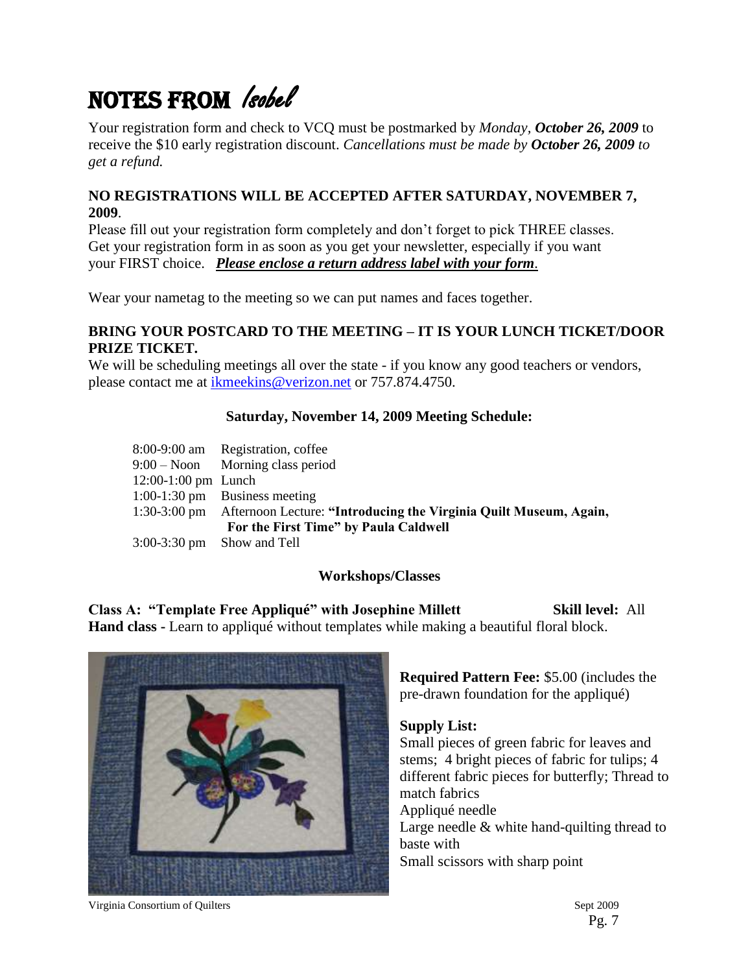# NOTES FROM *Isobel*

Your registration form and check to VCQ must be postmarked by *Monday, October 26, 2009* to receive the \$10 early registration discount. *Cancellations must be made by October 26, 2009 to get a refund.*

#### **NO REGISTRATIONS WILL BE ACCEPTED AFTER SATURDAY, NOVEMBER 7, 2009**.

Please fill out your registration form completely and don't forget to pick THREE classes. Get your registration form in as soon as you get your newsletter, especially if you want your FIRST choice. *Please enclose a return address label with your form.*

Wear your nametag to the meeting so we can put names and faces together.

#### **BRING YOUR POSTCARD TO THE MEETING – IT IS YOUR LUNCH TICKET/DOOR PRIZE TICKET.**

We will be scheduling meetings all over the state - if you know any good teachers or vendors, please contact me at [ikmeekins@verizon.net](mailto:ikmeekins@verizon.net) or 757.874.4750.

#### **Saturday, November 14, 2009 Meeting Schedule:**

|                              | 8:00-9:00 am Registration, coffee                                              |
|------------------------------|--------------------------------------------------------------------------------|
|                              | $9:00 - N$ oon Morning class period                                            |
| $12:00-1:00$ pm Lunch        |                                                                                |
|                              | $1:00-1:30$ pm Business meeting                                                |
|                              | 1:30-3:00 pm Afternoon Lecture: "Introducing the Virginia Quilt Museum, Again, |
|                              | For the First Time" by Paula Caldwell                                          |
| $3:00-3:30$ pm Show and Tell |                                                                                |

### **Workshops/Classes**

**Class A: "Template Free Appliqué" with Josephine Millett Skill level:** All **Hand class -** Learn to appliqué without templates while making a beautiful floral block.



**Required Pattern Fee:** \$5.00 (includes the pre-drawn foundation for the appliqué)

#### **Supply List:**

Small pieces of green fabric for leaves and stems; 4 bright pieces of fabric for tulips; 4 different fabric pieces for butterfly; Thread to match fabrics Appliqué needle Large needle & white hand-quilting thread to baste with Small scissors with sharp point

Virginia Consortium of Quilters Sept 2009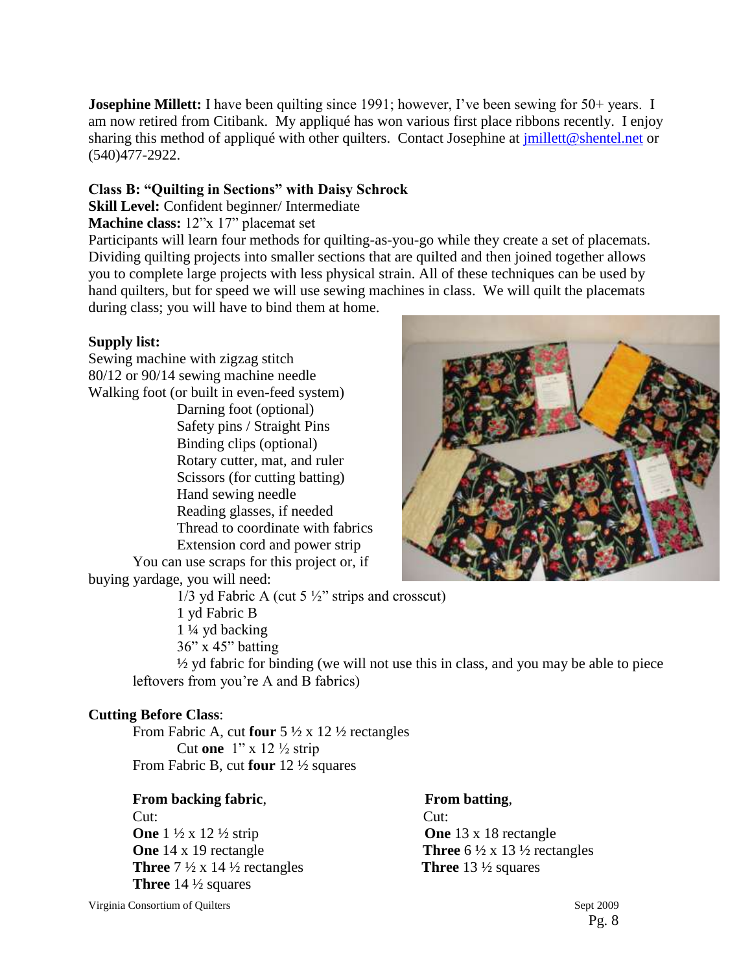**Josephine Millett:** I have been quilting since 1991; however, I've been sewing for 50+ years. I am now retired from Citibank. My appliqué has won various first place ribbons recently. I enjoy sharing this method of appliqué with other quilters. Contact Josephine at *jmillett@shentel.net* or (540)477-2922.

#### **Class B: "Quilting in Sections" with Daisy Schrock**

**Skill Level:** Confident beginner/ Intermediate

#### **Machine class:** 12"x 17" placemat set

Participants will learn four methods for quilting-as-you-go while they create a set of placemats. Dividing quilting projects into smaller sections that are quilted and then joined together allows you to complete large projects with less physical strain. All of these techniques can be used by hand quilters, but for speed we will use sewing machines in class. We will quilt the placemats during class; you will have to bind them at home.

#### **Supply list:**

Sewing machine with zigzag stitch 80/12 or 90/14 sewing machine needle Walking foot (or built in even-feed system) Darning foot (optional) Safety pins / Straight Pins Binding clips (optional) Rotary cutter, mat, and ruler Scissors (for cutting batting) Hand sewing needle Reading glasses, if needed Thread to coordinate with fabrics Extension cord and power strip You can use scraps for this project or, if

buying yardage, you will need:

 $1/3$  yd Fabric A (cut 5  $\frac{1}{2}$ " strips and crosscut) 1 yd Fabric B 1 ¼ yd backing

36" x 45" batting

½ yd fabric for binding (we will not use this in class, and you may be able to piece leftovers from you're A and B fabrics)

#### **Cutting Before Class**:

From Fabric A, cut **four** 5 ½ x 12 ½ rectangles Cut **one** 1" x 12 ½ strip From Fabric B, cut **four** 12 ½ squares

#### **From backing fabric, From batting,**

Cut: Cut: **One**  $1 \frac{1}{2}$  x  $12 \frac{1}{2}$  strip **One**  $13 \times 18$  rectangle **Three**  $7\frac{1}{2} \times 14\frac{1}{2}$  rectangles **Three** 13 <sup>1</sup>/<sub>2</sub> squares **Three** 14 ½ squares

**One** 14 x 19 rectangle **Three** 6  $\frac{1}{2}$  x 13  $\frac{1}{2}$  rectangles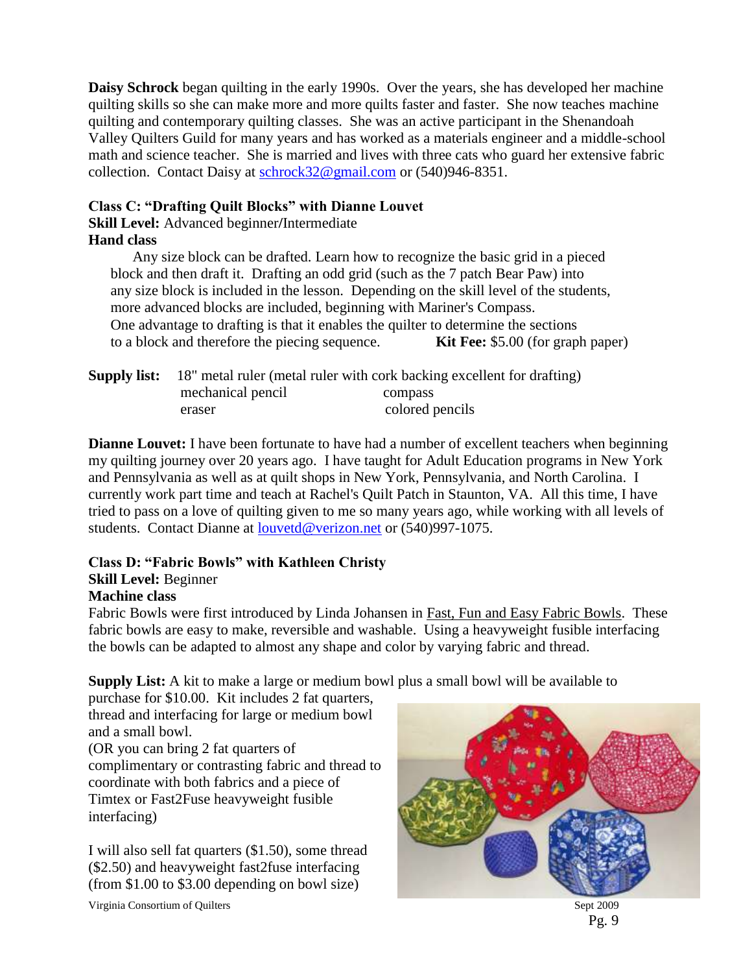**Daisy Schrock** began quilting in the early 1990s. Over the years, she has developed her machine quilting skills so she can make more and more quilts faster and faster. She now teaches machine quilting and contemporary quilting classes. She was an active participant in the Shenandoah Valley Quilters Guild for many years and has worked as a materials engineer and a middle-school math and science teacher. She is married and lives with three cats who guard her extensive fabric collection. Contact Daisy at [schrock32@gmail.com](mailto:schrock32@gmail.com) or (540)946-8351.

#### **Class C: "Drafting Quilt Blocks" with Dianne Louvet**

**Skill Level:** Advanced beginner**/**Intermediate

### **Hand class**

Any size block can be drafted. Learn how to recognize the basic grid in a pieced block and then draft it. Drafting an odd grid (such as the 7 patch Bear Paw) into any size block is included in the lesson. Depending on the skill level of the students, more advanced blocks are included, beginning with Mariner's Compass. One advantage to drafting is that it enables the quilter to determine the sections to a block and therefore the piecing sequence. **Kit Fee:** \$5.00 (for graph paper)

|                   | <b>Supply list:</b> 18" metal ruler (metal ruler with cork backing excellent for drafting) |
|-------------------|--------------------------------------------------------------------------------------------|
| mechanical pencil | compass                                                                                    |
| eraser            | colored pencils                                                                            |

**Dianne Louvet:** I have been fortunate to have had a number of excellent teachers when beginning my quilting journey over 20 years ago. I have taught for Adult Education programs in New York and Pennsylvania as well as at quilt shops in New York, Pennsylvania, and North Carolina. I currently work part time and teach at Rachel's Quilt Patch in Staunton, VA. All this time, I have tried to pass on a love of quilting given to me so many years ago, while working with all levels of students. Contact Dianne at [louvetd@verizon.net](mailto:louvetd@verizon.net) or (540)997-1075.

### **Class D: "Fabric Bowls" with Kathleen Christy**

### **Skill Level:** Beginner

### **Machine class**

Fabric Bowls were first introduced by Linda Johansen in Fast, Fun and Easy Fabric Bowls. These fabric bowls are easy to make, reversible and washable. Using a heavyweight fusible interfacing the bowls can be adapted to almost any shape and color by varying fabric and thread.

**Supply List:** A kit to make a large or medium bowl plus a small bowl will be available to

purchase for \$10.00. Kit includes 2 fat quarters, thread and interfacing for large or medium bowl and a small bowl.

(OR you can bring 2 fat quarters of complimentary or contrasting fabric and thread to coordinate with both fabrics and a piece of Timtex or Fast2Fuse heavyweight fusible interfacing)

I will also sell fat quarters (\$1.50), some thread (\$2.50) and heavyweight fast2fuse interfacing (from \$1.00 to \$3.00 depending on bowl size)



Pg. 9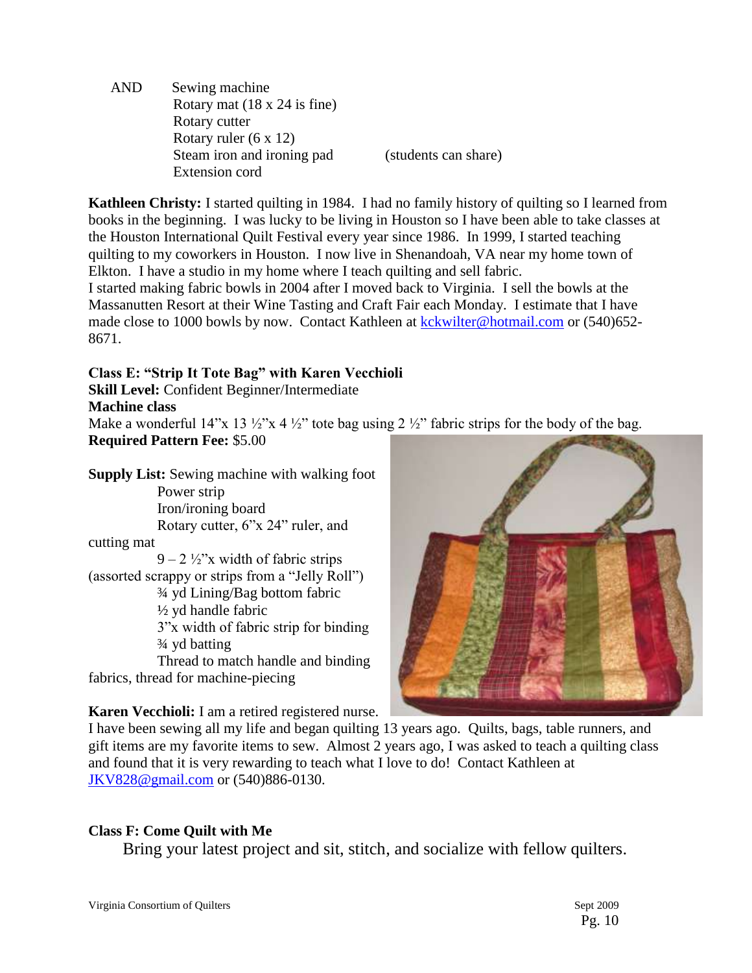AND Sewing machine Rotary mat (18 x 24 is fine) Rotary cutter Rotary ruler (6 x 12) Steam iron and ironing pad (students can share) Extension cord

**Kathleen Christy:** I started quilting in 1984. I had no family history of quilting so I learned from books in the beginning. I was lucky to be living in Houston so I have been able to take classes at the Houston International Quilt Festival every year since 1986. In 1999, I started teaching quilting to my coworkers in Houston. I now live in Shenandoah, VA near my home town of Elkton. I have a studio in my home where I teach quilting and sell fabric.

I started making fabric bowls in 2004 after I moved back to Virginia. I sell the bowls at the Massanutten Resort at their Wine Tasting and Craft Fair each Monday. I estimate that I have made close to 1000 bowls by now. Contact Kathleen at [kckwilter@hotmail.com](mailto:kckwilter@hotmail.com) or (540)652- 8671.

### **Class E: "Strip It Tote Bag" with Karen Vecchioli**

**Skill Level:** Confident Beginner/Intermediate

**Machine class**

Make a wonderful 14"x 13  $\frac{1}{2}$ "x 4  $\frac{1}{2}$ " tote bag using 2  $\frac{1}{2}$ " fabric strips for the body of the bag. **Required Pattern Fee:** \$5.00

**Supply List:** Sewing machine with walking foot Power strip Iron/ironing board Rotary cutter, 6"x 24" ruler, and cutting mat  $9 - 2 \frac{1}{2}$ "x width of fabric strips (assorted scrappy or strips from a "Jelly Roll") ¾ yd Lining/Bag bottom fabric ½ yd handle fabric 3"x width of fabric strip for binding ¾ yd batting

Thread to match handle and binding fabrics, thread for machine-piecing

**Karen Vecchioli:** I am a retired registered nurse.

I have been sewing all my life and began quilting 13 years ago. Quilts, bags, table runners, and gift items are my favorite items to sew. Almost 2 years ago, I was asked to teach a quilting class and found that it is very rewarding to teach what I love to do! Contact Kathleen at [JKV828@gmail.com](mailto:JKV828@gmail.com) or (540)886-0130.

# **Class F: Come Quilt with Me**

Bring your latest project and sit, stitch, and socialize with fellow quilters.

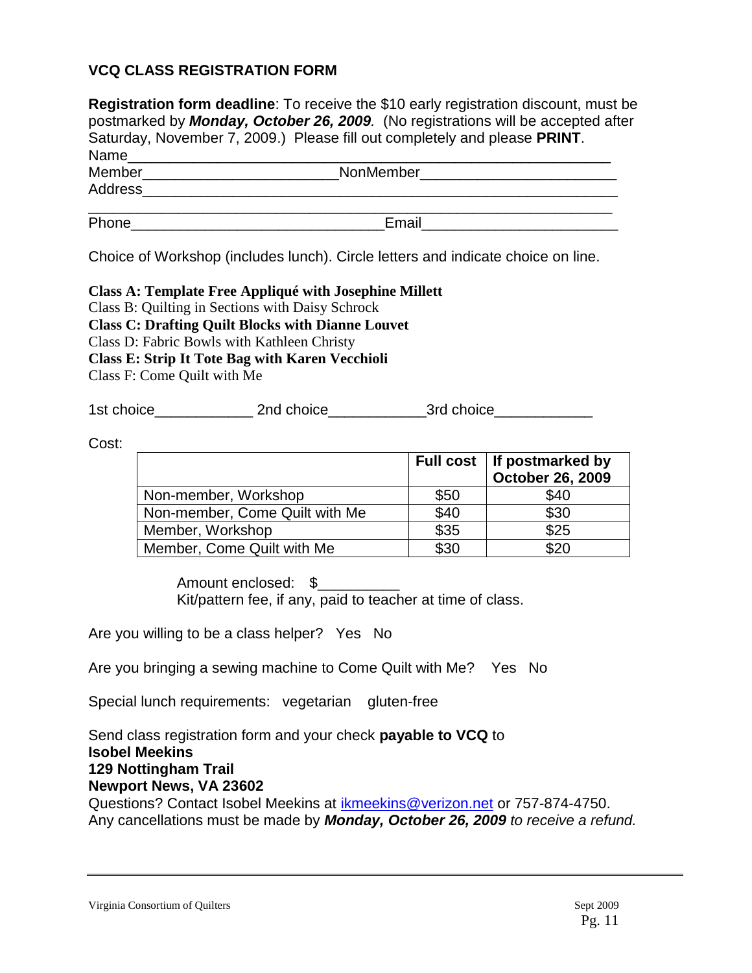### **VCQ CLASS REGISTRATION FORM**

| <b>Registration form deadline</b> : To receive the \$10 early registration discount, must be<br>postmarked by Monday, October 26, 2009. (No registrations will be accepted after<br>Saturday, November 7, 2009.) Please fill out completely and please PRINT. |                                                                                                                       |  |  |  |
|---------------------------------------------------------------------------------------------------------------------------------------------------------------------------------------------------------------------------------------------------------------|-----------------------------------------------------------------------------------------------------------------------|--|--|--|
| Name______________________________                                                                                                                                                                                                                            |                                                                                                                       |  |  |  |
| Address_____________                                                                                                                                                                                                                                          | Member_____________________________NonMember______________________                                                    |  |  |  |
| <b>Phone Contract Phone</b>                                                                                                                                                                                                                                   | Email <b>Exercise Service Service Service</b> Service Service Service Service Service Service Service Service Service |  |  |  |
|                                                                                                                                                                                                                                                               |                                                                                                                       |  |  |  |

Choice of Workshop (includes lunch). Circle letters and indicate choice on line.

#### **Class A: Template Free Appliqué with Josephine Millett** Class B: Quilting in Sections with Daisy Schrock

**Class C: Drafting Quilt Blocks with Dianne Louvet**

Class D: Fabric Bowls with Kathleen Christy

**Class E: Strip It Tote Bag with Karen Vecchioli**

Class F: Come Quilt with Me

1st choice\_\_\_\_\_\_\_\_\_\_\_\_ 2nd choice\_\_\_\_\_\_\_\_\_\_\_\_3rd choice\_\_\_\_\_\_\_\_\_\_\_\_

Cost:

|                                |      | Full cost   If postmarked by<br>October 26, 2009 |
|--------------------------------|------|--------------------------------------------------|
| Non-member, Workshop           | \$50 | \$40                                             |
| Non-member, Come Quilt with Me | \$40 | \$30                                             |
| Member, Workshop               | \$35 | \$25                                             |
| Member, Come Quilt with Me     | \$30 | \$20                                             |

Amount enclosed: \$ Kit/pattern fee, if any, paid to teacher at time of class.

Are you willing to be a class helper? Yes No

Are you bringing a sewing machine to Come Quilt with Me? Yes No

Special lunch requirements: vegetarian gluten-free

Send class registration form and your check **payable to VCQ** to **Isobel Meekins 129 Nottingham Trail Newport News, VA 23602** Questions? Contact Isobel Meekins at [ikmeekins@verizon.net](mailto:ikmeekins@verizon.net) or 757-874-4750. Any cancellations must be made by *Monday, October 26, 2009 to receive a refund.*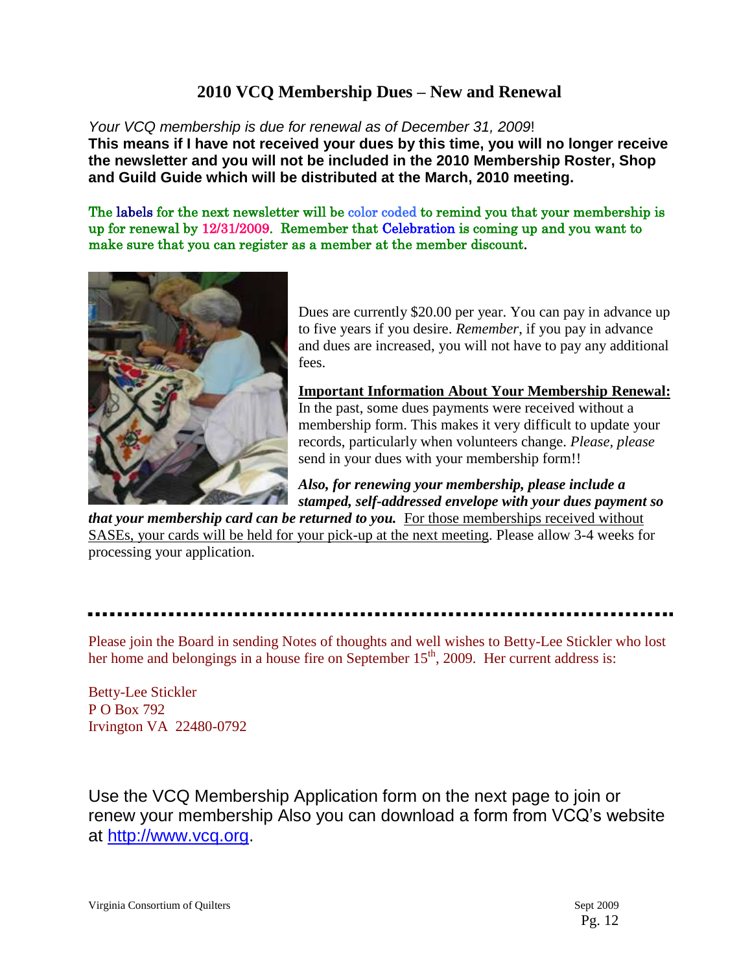# **2010 VCQ Membership Dues – New and Renewal**

*Your VCQ membership is due for renewal as of December 31, 2009*!

**This means if I have not received your dues by this time, you will no longer receive the newsletter and you will not be included in the 2010 Membership Roster, Shop and Guild Guide which will be distributed at the March, 2010 meeting.**

The labels for the next newsletter will be color coded to remind you that your membership is up for renewal by 12/31/2009. Remember that Celebration is coming up and you want to make sure that you can register as a member at the member discount.



Dues are currently \$20.00 per year. You can pay in advance up to five years if you desire. *Remember*, if you pay in advance and dues are increased, you will not have to pay any additional fees.

**Important Information About Your Membership Renewal:** In the past, some dues payments were received without a membership form. This makes it very difficult to update your records, particularly when volunteers change. *Please, please*  send in your dues with your membership form!!

*Also, for renewing your membership, please include a stamped, self-addressed envelope with your dues payment so* 

*that your membership card can be returned to you.* For those memberships received without SASEs, your cards will be held for your pick-up at the next meeting. Please allow 3-4 weeks for processing your application.

Please join the Board in sending Notes of thoughts and well wishes to Betty-Lee Stickler who lost her home and belongings in a house fire on September  $15<sup>th</sup>$ , 2009. Her current address is:

Betty-Lee Stickler P O Box 792 Irvington VA 22480-0792

Use the VCQ Membership Application form on the next page to join or renew your membership Also you can download a form from VCQ's website at [http://www.vcq.org.](http://www.vcq.org/)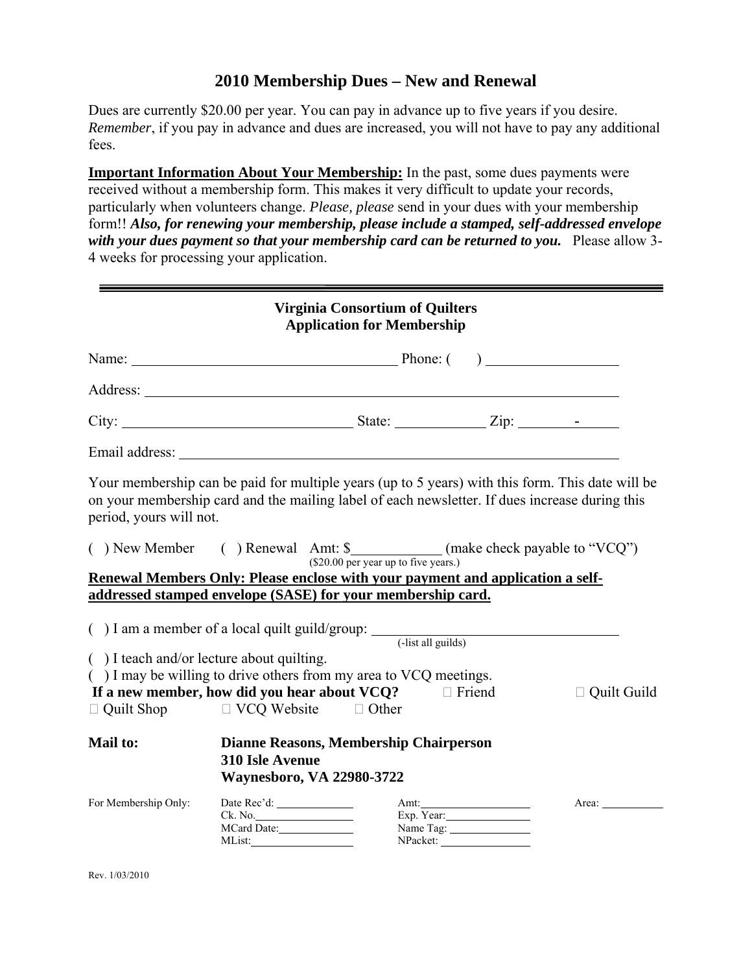# **2010 Membership Dues – New and Renewal**

Dues are currently \$20.00 per year. You can pay in advance up to five years if you desire. *Remember*, if you pay in advance and dues are increased, you will not have to pay any additional fees.

**Important Information About Your Membership:** In the past, some dues payments were received without a membership form. This makes it very difficult to update your records, particularly when volunteers change. *Please, please* send in your dues with your membership form!! *Also, for renewing your membership, please include a stamped, self-addressed envelope with your dues payment so that your membership card can be returned to you.* Please allow 3- 4 weeks for processing your application.

|                                                   |                                                            | <b>Virginia Consortium of Quilters</b><br><b>Application for Membership</b>                                                                                                                        |                                             |                    |
|---------------------------------------------------|------------------------------------------------------------|----------------------------------------------------------------------------------------------------------------------------------------------------------------------------------------------------|---------------------------------------------|--------------------|
|                                                   |                                                            |                                                                                                                                                                                                    |                                             |                    |
|                                                   |                                                            | Address:                                                                                                                                                                                           |                                             |                    |
|                                                   |                                                            |                                                                                                                                                                                                    |                                             |                    |
|                                                   |                                                            |                                                                                                                                                                                                    |                                             |                    |
| period, yours will not.                           |                                                            | Your membership can be paid for multiple years (up to 5 years) with this form. This date will be<br>on your membership card and the mailing label of each newsletter. If dues increase during this |                                             |                    |
|                                                   |                                                            | () New Member () Renewal Amt: \$_____________(make check payable to "VCQ")                                                                                                                         |                                             |                    |
|                                                   |                                                            | (\$20.00 per year up to five years.)<br>Renewal Members Only: Please enclose with your payment and application a self-                                                                             |                                             |                    |
|                                                   |                                                            | addressed stamped envelope (SASE) for your membership card.                                                                                                                                        |                                             |                    |
|                                                   |                                                            | $( )$ I am a member of a local quilt guild/group: $($ -list all guilds)                                                                                                                            |                                             |                    |
| $( )$ I teach and/or lecture about quilting.      |                                                            |                                                                                                                                                                                                    |                                             |                    |
|                                                   |                                                            | () I may be willing to drive others from my area to VCQ meetings.                                                                                                                                  |                                             |                    |
|                                                   |                                                            | If a new member, how did you hear about $VCQ$ ? $\Box$ Friend                                                                                                                                      |                                             | $\Box$ Quilt Guild |
| $\Box$ Quilt Shop $\Box$ VCQ Website $\Box$ Other |                                                            |                                                                                                                                                                                                    |                                             |                    |
| <b>Mail to:</b>                                   | <b>310 Isle Avenue</b><br><b>Waynesboro, VA 22980-3722</b> | Dianne Reasons, Membership Chairperson                                                                                                                                                             |                                             |                    |
| For Membership Only:                              | Ck. No.<br>MCard Date:<br>MList:                           |                                                                                                                                                                                                    | Amt:<br>Exp. Year:<br>Name Tag:<br>NPacket: | Area:              |

Rev. 1/03/2010